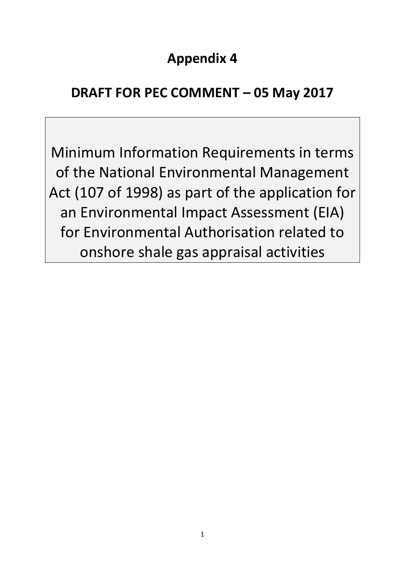# **Appendix 4**

## **DRAFT FOR PEC COMMENT – 05 May 2017**

Minimum Information Requirements in terms of the National Environmental Management Act (107 of 1998) as part of the application for an Environmental Impact Assessment (EIA) for Environmental Authorisation related to onshore shale gas appraisal activities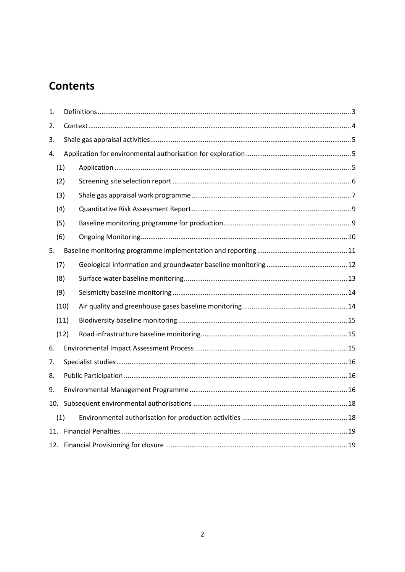## **Contents**

| 1. |      |  |  |  |  |  |
|----|------|--|--|--|--|--|
| 2. |      |  |  |  |  |  |
| 3. |      |  |  |  |  |  |
| 4. |      |  |  |  |  |  |
|    | (1)  |  |  |  |  |  |
|    | (2)  |  |  |  |  |  |
|    | (3)  |  |  |  |  |  |
|    | (4)  |  |  |  |  |  |
|    | (5)  |  |  |  |  |  |
|    | (6)  |  |  |  |  |  |
| 5. |      |  |  |  |  |  |
|    | (7)  |  |  |  |  |  |
|    | (8)  |  |  |  |  |  |
|    | (9)  |  |  |  |  |  |
|    | (10) |  |  |  |  |  |
|    | (11) |  |  |  |  |  |
|    | (12) |  |  |  |  |  |
| 6. |      |  |  |  |  |  |
|    | 7.   |  |  |  |  |  |
| 8. |      |  |  |  |  |  |
| 9. |      |  |  |  |  |  |
|    |      |  |  |  |  |  |
|    | (1)  |  |  |  |  |  |
|    |      |  |  |  |  |  |
|    |      |  |  |  |  |  |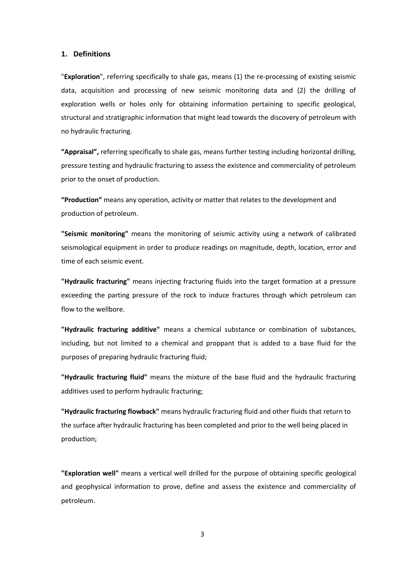#### <span id="page-2-0"></span>**1. Definitions**

"**Exploration**", referring specifically to shale gas, means (1) the re-processing of existing seismic data, acquisition and processing of new seismic monitoring data and (2) the drilling of exploration wells or holes only for obtaining information pertaining to specific geological, structural and stratigraphic information that might lead towards the discovery of petroleum with no hydraulic fracturing.

**"Appraisal",** referring specifically to shale gas, means further testing including horizontal drilling, pressure testing and hydraulic fracturing to assess the existence and commerciality of petroleum prior to the onset of production.

**"Production"** means any operation, activity or matter that relates to the development and production of petroleum.

**"Seismic monitoring"** means the monitoring of seismic activity using a network of calibrated seismological equipment in order to produce readings on magnitude, depth, location, error and time of each seismic event.

**"Hydraulic fracturing"** means injecting fracturing fluids into the target formation at a pressure exceeding the parting pressure of the rock to induce fractures through which petroleum can flow to the wellbore.

**"Hydraulic fracturing additive"** means a chemical substance or combination of substances, including, but not limited to a chemical and proppant that is added to a base fluid for the purposes of preparing hydraulic fracturing fluid;

**"Hydraulic fracturing fluid"** means the mixture of the base fluid and the hydraulic fracturing additives used to perform hydraulic fracturing;

**"Hydraulic fracturing flowback"** means hydraulic fracturing fluid and other fluids that return to the surface after hydraulic fracturing has been completed and prior to the well being placed in production;

**"Exploration well"** means a vertical well drilled for the purpose of obtaining specific geological and geophysical information to prove, define and assess the existence and commerciality of petroleum.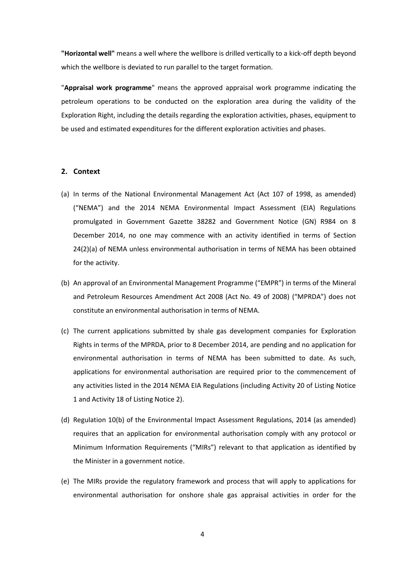**"Horizontal well"** means a well where the wellbore is drilled vertically to a kick-off depth beyond which the wellbore is deviated to run parallel to the target formation.

"**Appraisal work programme**" means the approved appraisal work programme indicating the petroleum operations to be conducted on the exploration area during the validity of the Exploration Right, including the details regarding the exploration activities, phases, equipment to be used and estimated expenditures for the different exploration activities and phases.

#### <span id="page-3-0"></span>**2. Context**

- (a) In terms of the National Environmental Management Act (Act 107 of 1998, as amended) ("NEMA") and the 2014 NEMA Environmental Impact Assessment (EIA) Regulations promulgated in Government Gazette 38282 and Government Notice (GN) R984 on 8 December 2014, no one may commence with an activity identified in terms of Section 24(2)(a) of NEMA unless environmental authorisation in terms of NEMA has been obtained for the activity.
- (b) An approval of an Environmental Management Programme ("EMPR") in terms of the Mineral and Petroleum Resources Amendment Act 2008 (Act No. 49 of 2008) ("MPRDA") does not constitute an environmental authorisation in terms of NEMA.
- (c) The current applications submitted by shale gas development companies for Exploration Rights in terms of the MPRDA, prior to 8 December 2014, are pending and no application for environmental authorisation in terms of NEMA has been submitted to date. As such, applications for environmental authorisation are required prior to the commencement of any activities listed in the 2014 NEMA EIA Regulations (including Activity 20 of Listing Notice 1 and Activity 18 of Listing Notice 2).
- (d) Regulation 10(b) of the Environmental Impact Assessment Regulations, 2014 (as amended) requires that an application for environmental authorisation comply with any protocol or Minimum Information Requirements ("MIRs") relevant to that application as identified by the Minister in a government notice.
- (e) The MIRs provide the regulatory framework and process that will apply to applications for environmental authorisation for onshore shale gas appraisal activities in order for the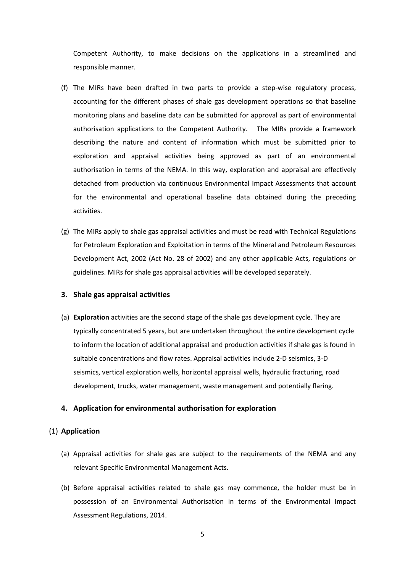Competent Authority, to make decisions on the applications in a streamlined and responsible manner.

- (f) The MIRs have been drafted in two parts to provide a step-wise regulatory process, accounting for the different phases of shale gas development operations so that baseline monitoring plans and baseline data can be submitted for approval as part of environmental authorisation applications to the Competent Authority. The MIRs provide a framework describing the nature and content of information which must be submitted prior to exploration and appraisal activities being approved as part of an environmental authorisation in terms of the NEMA. In this way, exploration and appraisal are effectively detached from production via continuous Environmental Impact Assessments that account for the environmental and operational baseline data obtained during the preceding activities.
- (g) The MIRs apply to shale gas appraisal activities and must be read with Technical Regulations for Petroleum Exploration and Exploitation in terms of the Mineral and Petroleum Resources Development Act, 2002 (Act No. 28 of 2002) and any other applicable Acts, regulations or guidelines. MIRs for shale gas appraisal activities will be developed separately.

#### <span id="page-4-0"></span>**3. Shale gas appraisal activities**

(a) **Exploration** activities are the second stage of the shale gas development cycle. They are typically concentrated 5 years, but are undertaken throughout the entire development cycle to inform the location of additional appraisal and production activities if shale gas is found in suitable concentrations and flow rates. Appraisal activities include 2-D seismics, 3-D seismics, vertical exploration wells, horizontal appraisal wells, hydraulic fracturing, road development, trucks, water management, waste management and potentially flaring.

#### <span id="page-4-1"></span>**4. Application for environmental authorisation for exploration**

#### <span id="page-4-2"></span>(1) **Application**

- (a) Appraisal activities for shale gas are subject to the requirements of the NEMA and any relevant Specific Environmental Management Acts.
- (b) Before appraisal activities related to shale gas may commence, the holder must be in possession of an Environmental Authorisation in terms of the Environmental Impact Assessment Regulations, 2014.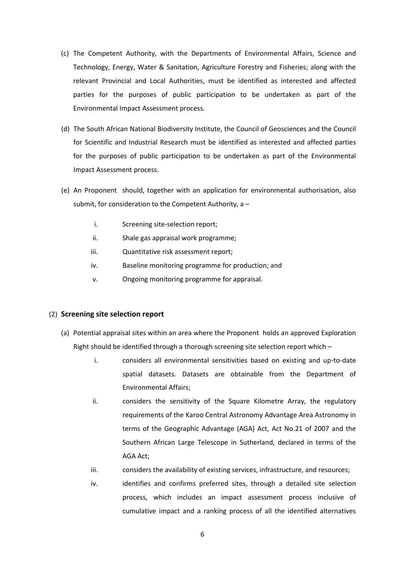- (c) The Competent Authority, with the Departments of Environmental Affairs, Science and Technology, Energy, Water & Sanitation, Agriculture Forestry and Fisheries; along with the relevant Provincial and Local Authorities, must be identified as interested and affected parties for the purposes of public participation to be undertaken as part of the Environmental Impact Assessment process.
- (d) The South African National Biodiversity Institute, the Council of Geosciences and the Council for Scientific and Industrial Research must be identified as interested and affected parties for the purposes of public participation to be undertaken as part of the Environmental Impact Assessment process.
- (e) An Proponent should, together with an application for environmental authorisation, also submit, for consideration to the Competent Authority, a –
	- i. Screening site-selection report;
	- ii. Shale gas appraisal work programme;
	- iii. Quantitative risk assessment report;
	- iv. Baseline monitoring programme for production; and
	- v. Ongoing monitoring programme for appraisal.

#### <span id="page-5-0"></span>(2) **Screening site selection report**

- (a) Potential appraisal sites within an area where the Proponent holds an approved Exploration Right should be identified through a thorough screening site selection report which –
	- i. considers all environmental sensitivities based on existing and up-to-date spatial datasets. Datasets are obtainable from the Department of Environmental Affairs;
	- ii. considers the sensitivity of the Square Kilometre Array, the regulatory requirements of the Karoo Central Astronomy Advantage Area Astronomy in terms of the Geographic Advantage (AGA) Act, Act No.21 of 2007 and the Southern African Large Telescope in Sutherland, declared in terms of the AGA Act;
	- iii. considers the availability of existing services, infrastructure, and resources;
	- iv. identifies and confirms preferred sites, through a detailed site selection process, which includes an impact assessment process inclusive of cumulative impact and a ranking process of all the identified alternatives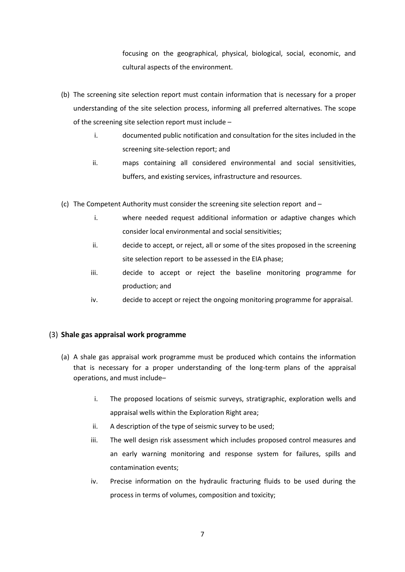focusing on the geographical, physical, biological, social, economic, and cultural aspects of the environment.

- (b) The screening site selection report must contain information that is necessary for a proper understanding of the site selection process, informing all preferred alternatives. The scope of the screening site selection report must include –
	- i. documented public notification and consultation for the sites included in the screening site-selection report; and
	- ii. maps containing all considered environmental and social sensitivities, buffers, and existing services, infrastructure and resources.
- (c) The Competent Authority must consider the screening site selection report and
	- i. where needed request additional information or adaptive changes which consider local environmental and social sensitivities;
	- ii. decide to accept, or reject, all or some of the sites proposed in the screening site selection report to be assessed in the EIA phase;
	- iii. decide to accept or reject the baseline monitoring programme for production; and
	- iv. decide to accept or reject the ongoing monitoring programme for appraisal.

## <span id="page-6-0"></span>(3) **Shale gas appraisal work programme**

- (a) A shale gas appraisal work programme must be produced which contains the information that is necessary for a proper understanding of the long-term plans of the appraisal operations, and must include–
	- i. The proposed locations of seismic surveys, stratigraphic, exploration wells and appraisal wells within the Exploration Right area;
	- ii. A description of the type of seismic survey to be used;
	- iii. The well design risk assessment which includes proposed control measures and an early warning monitoring and response system for failures, spills and contamination events;
	- iv. Precise information on the hydraulic fracturing fluids to be used during the process in terms of volumes, composition and toxicity;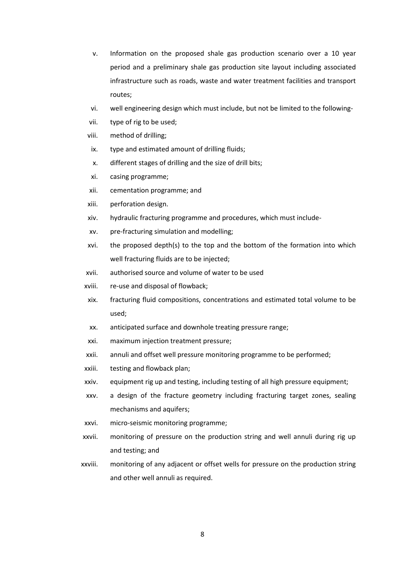- v. Information on the proposed shale gas production scenario over a 10 year period and a preliminary shale gas production site layout including associated infrastructure such as roads, waste and water treatment facilities and transport routes;
- vi. well engineering design which must include, but not be limited to the following-
- vii. type of rig to be used;
- viii. method of drilling;
- ix. type and estimated amount of drilling fluids;
- x. different stages of drilling and the size of drill bits;
- xi. casing programme;
- xii. cementation programme; and
- xiii. perforation design.
- xiv. hydraulic fracturing programme and procedures, which must include-
- xv. pre-fracturing simulation and modelling;
- xvi. the proposed depth(s) to the top and the bottom of the formation into which well fracturing fluids are to be injected;
- xvii. authorised source and volume of water to be used
- xviii. re-use and disposal of flowback;
- xix. fracturing fluid compositions, concentrations and estimated total volume to be used;
- xx. anticipated surface and downhole treating pressure range;
- xxi. maximum injection treatment pressure;
- xxii. annuli and offset well pressure monitoring programme to be performed;
- xxiii. testing and flowback plan;
- xxiv. equipment rig up and testing, including testing of all high pressure equipment;
- xxv. a design of the fracture geometry including fracturing target zones, sealing mechanisms and aquifers;
- xxvi. micro-seismic monitoring programme;
- xxvii. monitoring of pressure on the production string and well annuli during rig up and testing; and
- xxviii. monitoring of any adjacent or offset wells for pressure on the production string and other well annuli as required.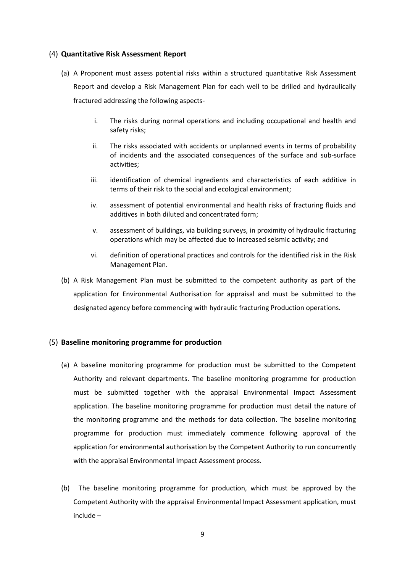#### <span id="page-8-0"></span>(4) **Quantitative Risk Assessment Report**

- (a) A Proponent must assess potential risks within a structured quantitative Risk Assessment Report and develop a Risk Management Plan for each well to be drilled and hydraulically fractured addressing the following aspects
	- i. The risks during normal operations and including occupational and health and safety risks;
	- ii. The risks associated with accidents or unplanned events in terms of probability of incidents and the associated consequences of the surface and sub-surface activities;
	- iii. identification of chemical ingredients and characteristics of each additive in terms of their risk to the social and ecological environment;
	- iv. assessment of potential environmental and health risks of fracturing fluids and additives in both diluted and concentrated form;
	- v. assessment of buildings, via building surveys, in proximity of hydraulic fracturing operations which may be affected due to increased seismic activity; and
	- vi. definition of operational practices and controls for the identified risk in the Risk Management Plan.
- (b) A Risk Management Plan must be submitted to the competent authority as part of the application for Environmental Authorisation for appraisal and must be submitted to the designated agency before commencing with hydraulic fracturing Production operations.

#### <span id="page-8-1"></span>(5) **Baseline monitoring programme for production**

- (a) A baseline monitoring programme for production must be submitted to the Competent Authority and relevant departments. The baseline monitoring programme for production must be submitted together with the appraisal Environmental Impact Assessment application. The baseline monitoring programme for production must detail the nature of the monitoring programme and the methods for data collection. The baseline monitoring programme for production must immediately commence following approval of the application for environmental authorisation by the Competent Authority to run concurrently with the appraisal Environmental Impact Assessment process.
- (b) The baseline monitoring programme for production, which must be approved by the Competent Authority with the appraisal Environmental Impact Assessment application, must include –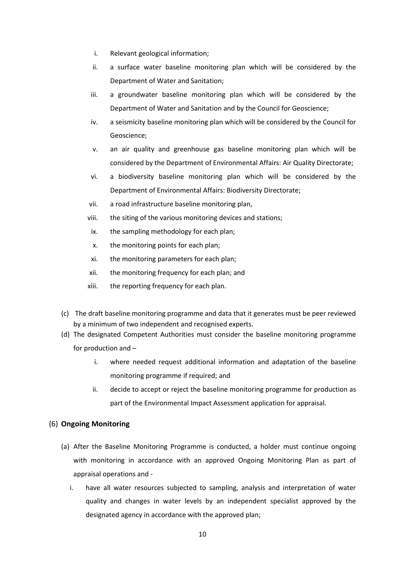- i. Relevant geological information;
- ii. a surface water baseline monitoring plan which will be considered by the Department of Water and Sanitation;
- iii. a groundwater baseline monitoring plan which will be considered by the Department of Water and Sanitation and by the Council for Geoscience;
- iv. a seismicity baseline monitoring plan which will be considered by the Council for Geoscience;
- v. an air quality and greenhouse gas baseline monitoring plan which will be considered by the Department of Environmental Affairs: Air Quality Directorate;
- vi. a biodiversity baseline monitoring plan which will be considered by the Department of Environmental Affairs: Biodiversity Directorate;
- vii. a road infrastructure baseline monitoring plan,
- viii. the siting of the various monitoring devices and stations;
- ix. the sampling methodology for each plan;
- x. the monitoring points for each plan;
- xi. the monitoring parameters for each plan;
- xii. the monitoring frequency for each plan; and
- xiii. the reporting frequency for each plan.
- (c) The draft baseline monitoring programme and data that it generates must be peer reviewed by a minimum of two independent and recognised experts.
- (d) The designated Competent Authorities must consider the baseline monitoring programme for production and –
	- i. where needed request additional information and adaptation of the baseline monitoring programme if required; and
	- ii. decide to accept or reject the baseline monitoring programme for production as part of the Environmental Impact Assessment application for appraisal.

## <span id="page-9-0"></span>(6) **Ongoing Monitoring**

- (a) After the Baseline Monitoring Programme is conducted, a holder must continue ongoing with monitoring in accordance with an approved Ongoing Monitoring Plan as part of appraisal operations and
	- i. have all water resources subjected to sampling, analysis and interpretation of water quality and changes in water levels by an independent specialist approved by the designated agency in accordance with the approved plan;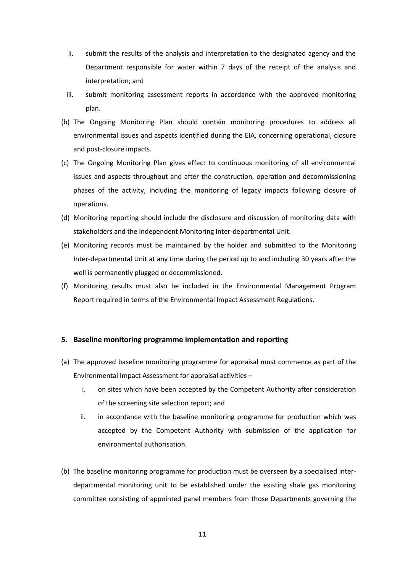- ii. submit the results of the analysis and interpretation to the designated agency and the Department responsible for water within 7 days of the receipt of the analysis and interpretation; and
- iii. submit monitoring assessment reports in accordance with the approved monitoring plan.
- (b) The Ongoing Monitoring Plan should contain monitoring procedures to address all environmental issues and aspects identified during the EIA, concerning operational, closure and post-closure impacts.
- (c) The Ongoing Monitoring Plan gives effect to continuous monitoring of all environmental issues and aspects throughout and after the construction, operation and decommissioning phases of the activity, including the monitoring of legacy impacts following closure of operations.
- (d) Monitoring reporting should include the disclosure and discussion of monitoring data with stakeholders and the independent Monitoring Inter-departmental Unit.
- (e) Monitoring records must be maintained by the holder and submitted to the Monitoring Inter-departmental Unit at any time during the period up to and including 30 years after the well is permanently plugged or decommissioned.
- (f) Monitoring results must also be included in the Environmental Management Program Report required in terms of the Environmental Impact Assessment Regulations.

#### <span id="page-10-0"></span>**5. Baseline monitoring programme implementation and reporting**

- (a) The approved baseline monitoring programme for appraisal must commence as part of the Environmental Impact Assessment for appraisal activities –
	- i. on sites which have been accepted by the Competent Authority after consideration of the screening site selection report; and
	- ii. in accordance with the baseline monitoring programme for production which was accepted by the Competent Authority with submission of the application for environmental authorisation.
- (b) The baseline monitoring programme for production must be overseen by a specialised interdepartmental monitoring unit to be established under the existing shale gas monitoring committee consisting of appointed panel members from those Departments governing the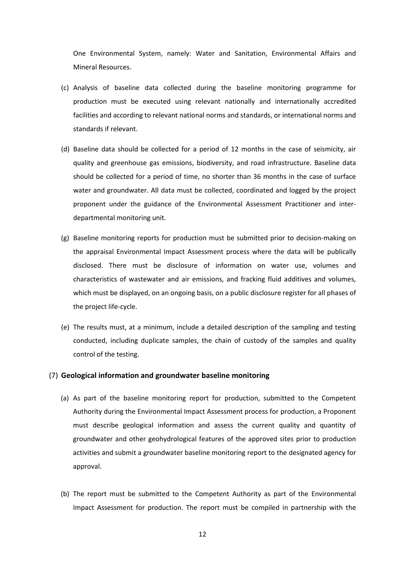One Environmental System, namely: Water and Sanitation, Environmental Affairs and Mineral Resources.

- (c) Analysis of baseline data collected during the baseline monitoring programme for production must be executed using relevant nationally and internationally accredited facilities and according to relevant national norms and standards, or international norms and standards if relevant.
- (d) Baseline data should be collected for a period of 12 months in the case of seismicity, air quality and greenhouse gas emissions, biodiversity, and road infrastructure. Baseline data should be collected for a period of time, no shorter than 36 months in the case of surface water and groundwater. All data must be collected, coordinated and logged by the project proponent under the guidance of the Environmental Assessment Practitioner and interdepartmental monitoring unit.
- (g) Baseline monitoring reports for production must be submitted prior to decision-making on the appraisal Environmental Impact Assessment process where the data will be publically disclosed. There must be disclosure of information on water use, volumes and characteristics of wastewater and air emissions, and fracking fluid additives and volumes, which must be displayed, on an ongoing basis, on a public disclosure register for all phases of the project life-cycle.
- (e) The results must, at a minimum, include a detailed description of the sampling and testing conducted, including duplicate samples, the chain of custody of the samples and quality control of the testing.

#### <span id="page-11-0"></span>(7) **Geological information and groundwater baseline monitoring**

- (a) As part of the baseline monitoring report for production, submitted to the Competent Authority during the Environmental Impact Assessment process for production, a Proponent must describe geological information and assess the current quality and quantity of groundwater and other geohydrological features of the approved sites prior to production activities and submit a groundwater baseline monitoring report to the designated agency for approval.
- (b) The report must be submitted to the Competent Authority as part of the Environmental Impact Assessment for production. The report must be compiled in partnership with the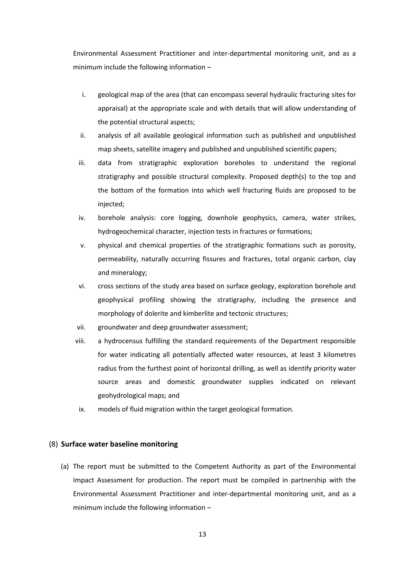Environmental Assessment Practitioner and inter-departmental monitoring unit, and as a minimum include the following information –

- i. geological map of the area (that can encompass several hydraulic fracturing sites for appraisal) at the appropriate scale and with details that will allow understanding of the potential structural aspects;
- ii. analysis of all available geological information such as published and unpublished map sheets, satellite imagery and published and unpublished scientific papers;
- iii. data from stratigraphic exploration boreholes to understand the regional stratigraphy and possible structural complexity. Proposed depth(s) to the top and the bottom of the formation into which well fracturing fluids are proposed to be injected;
- iv. borehole analysis: core logging, downhole geophysics, camera, water strikes, hydrogeochemical character, injection tests in fractures or formations;
- v. physical and chemical properties of the stratigraphic formations such as porosity, permeability, naturally occurring fissures and fractures, total organic carbon, clay and mineralogy;
- vi. cross sections of the study area based on surface geology, exploration borehole and geophysical profiling showing the stratigraphy, including the presence and morphology of dolerite and kimberlite and tectonic structures;
- vii. groundwater and deep groundwater assessment;
- viii. a hydrocensus fulfilling the standard requirements of the Department responsible for water indicating all potentially affected water resources, at least 3 kilometres radius from the furthest point of horizontal drilling, as well as identify priority water source areas and domestic groundwater supplies indicated on relevant geohydrological maps; and
- ix. models of fluid migration within the target geological formation.

#### <span id="page-12-0"></span>(8) **Surface water baseline monitoring**

(a) The report must be submitted to the Competent Authority as part of the Environmental Impact Assessment for production. The report must be compiled in partnership with the Environmental Assessment Practitioner and inter-departmental monitoring unit, and as a minimum include the following information –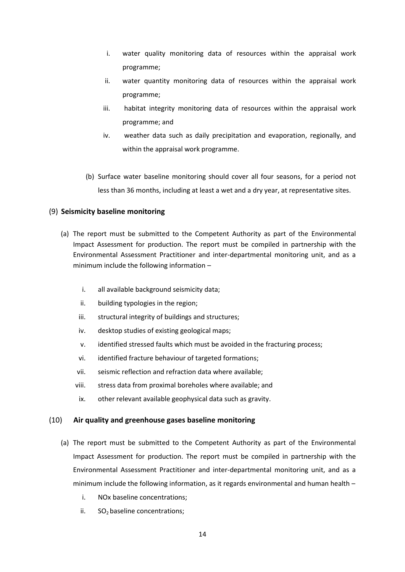- i. water quality monitoring data of resources within the appraisal work programme;
- ii. water quantity monitoring data of resources within the appraisal work programme;
- iii. habitat integrity monitoring data of resources within the appraisal work programme; and
- iv. weather data such as daily precipitation and evaporation, regionally, and within the appraisal work programme.
- (b) Surface water baseline monitoring should cover all four seasons, for a period not less than 36 months, including at least a wet and a dry year, at representative sites.

## <span id="page-13-0"></span>(9) **Seismicity baseline monitoring**

- (a) The report must be submitted to the Competent Authority as part of the Environmental Impact Assessment for production. The report must be compiled in partnership with the Environmental Assessment Practitioner and inter-departmental monitoring unit, and as a minimum include the following information –
	- i. all available background seismicity data;
	- ii. building typologies in the region;
	- iii. structural integrity of buildings and structures;
	- iv. desktop studies of existing geological maps;
	- v. identified stressed faults which must be avoided in the fracturing process;
	- vi. identified fracture behaviour of targeted formations;
	- vii. seismic reflection and refraction data where available;
	- viii. stress data from proximal boreholes where available; and
	- ix. other relevant available geophysical data such as gravity.

## <span id="page-13-1"></span>(10) **Air quality and greenhouse gases baseline monitoring**

- (a) The report must be submitted to the Competent Authority as part of the Environmental Impact Assessment for production. The report must be compiled in partnership with the Environmental Assessment Practitioner and inter-departmental monitoring unit, and as a minimum include the following information, as it regards environmental and human health –
	- i. NOx baseline concentrations;
	- ii.  $SO<sub>2</sub>$  baseline concentrations;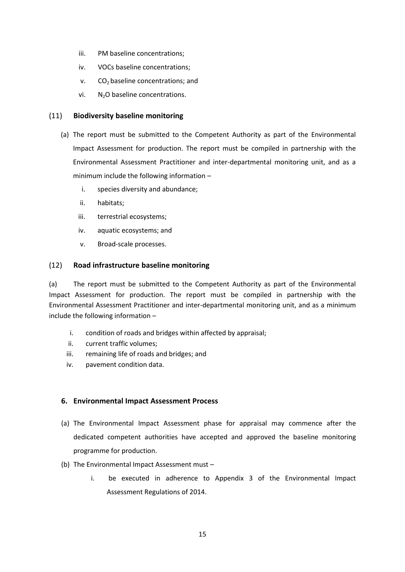- iii. PM baseline concentrations;
- iv. VOCs baseline concentrations;
- $v.$  CO<sub>2</sub> baseline concentrations; and
- vi. N<sub>2</sub>O baseline concentrations.

## <span id="page-14-0"></span>(11) **Biodiversity baseline monitoring**

- (a) The report must be submitted to the Competent Authority as part of the Environmental Impact Assessment for production. The report must be compiled in partnership with the Environmental Assessment Practitioner and inter-departmental monitoring unit, and as a minimum include the following information –
	- i. species diversity and abundance;
	- ii. habitats;
	- iii. terrestrial ecosystems;
	- iv. aquatic ecosystems; and
	- v. Broad-scale processes.

## <span id="page-14-1"></span>(12) **Road infrastructure baseline monitoring**

(a) The report must be submitted to the Competent Authority as part of the Environmental Impact Assessment for production. The report must be compiled in partnership with the Environmental Assessment Practitioner and inter-departmental monitoring unit, and as a minimum include the following information –

- i. condition of roads and bridges within affected by appraisal;
- ii. current traffic volumes;
- iii. remaining life of roads and bridges; and
- iv. pavement condition data.

## <span id="page-14-2"></span>**6. Environmental Impact Assessment Process**

- (a) The Environmental Impact Assessment phase for appraisal may commence after the dedicated competent authorities have accepted and approved the baseline monitoring programme for production.
- (b) The Environmental Impact Assessment must
	- i. be executed in adherence to Appendix 3 of the Environmental Impact Assessment Regulations of 2014.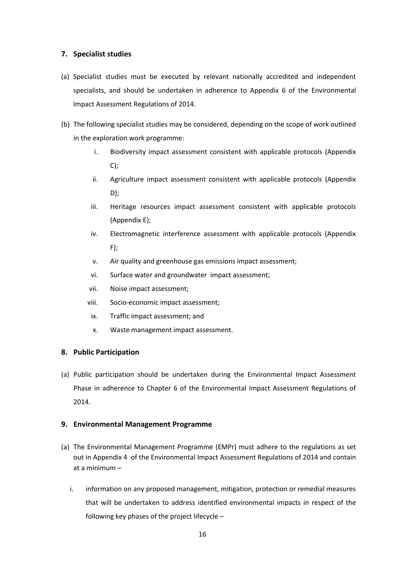## <span id="page-15-0"></span>**7. Specialist studies**

- (a) Specialist studies must be executed by relevant nationally accredited and independent specialists, and should be undertaken in adherence to Appendix 6 of the Environmental Impact Assessment Regulations of 2014.
- (b) The following specialist studies may be considered, depending on the scope of work outlined in the exploration work programme:
	- i. Biodiversity impact assessment consistent with applicable protocols (Appendix  $C$ :
	- ii. Agriculture impact assessment consistent with applicable protocols (Appendix D);
	- iii. Heritage resources impact assessment consistent with applicable protocols (Appendix E);
	- iv. Electromagnetic interference assessment with applicable protocols (Appendix  $F$ );
	- v. Air quality and greenhouse gas emissions impact assessment;
	- vi. Surface water and groundwater impact assessment;
	- vii. Noise impact assessment;
	- viii. Socio-economic impact assessment;
	- ix. Traffic impact assessment; and
	- x. Waste management impact assessment.

#### <span id="page-15-1"></span>**8. Public Participation**

(a) Public participation should be undertaken during the Environmental Impact Assessment Phase in adherence to Chapter 6 of the Environmental Impact Assessment Regulations of 2014.

## <span id="page-15-2"></span>**9. Environmental Management Programme**

- (a) The Environmental Management Programme (EMPr) must adhere to the regulations as set out in Appendix 4 of the Environmental Impact Assessment Regulations of 2014 and contain at a minimum –
	- i. information on any proposed management, mitigation, protection or remedial measures that will be undertaken to address identified environmental impacts in respect of the following key phases of the project lifecycle –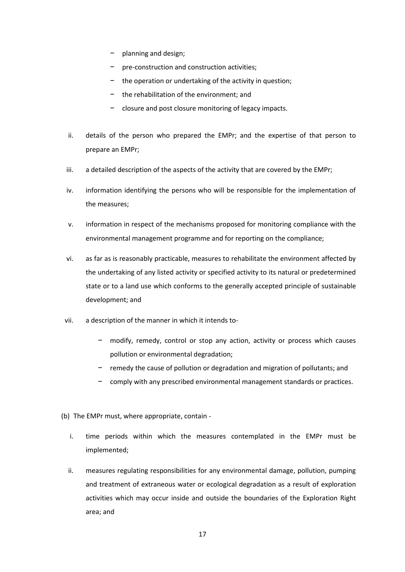- − planning and design;
- pre-construction and construction activities;
- − the operation or undertaking of the activity in question;
- − the rehabilitation of the environment; and
- − closure and post closure monitoring of legacy impacts.
- ii. details of the person who prepared the EMPr; and the expertise of that person to prepare an EMPr;
- iii. a detailed description of the aspects of the activity that are covered by the EMPr;
- iv. information identifying the persons who will be responsible for the implementation of the measures;
- v. information in respect of the mechanisms proposed for monitoring compliance with the environmental management programme and for reporting on the compliance;
- vi. as far as is reasonably practicable, measures to rehabilitate the environment affected by the undertaking of any listed activity or specified activity to its natural or predetermined state or to a land use which conforms to the generally accepted principle of sustainable development; and
- vii. a description of the manner in which it intends to-
	- − modify, remedy, control or stop any action, activity or process which causes pollution or environmental degradation;
	- − remedy the cause of pollution or degradation and migration of pollutants; and
	- − comply with any prescribed environmental management standards or practices.
- (b) The EMPr must, where appropriate, contain
	- i. time periods within which the measures contemplated in the EMPr must be implemented;
	- ii. measures regulating responsibilities for any environmental damage, pollution, pumping and treatment of extraneous water or ecological degradation as a result of exploration activities which may occur inside and outside the boundaries of the Exploration Right area; and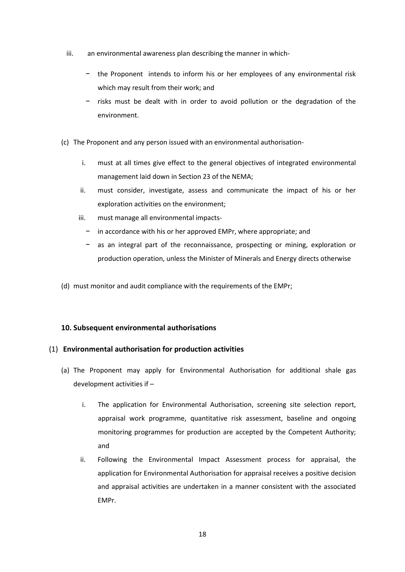- iii. an environmental awareness plan describing the manner in which-
	- − the Proponent intends to inform his or her employees of any environmental risk which may result from their work; and
	- − risks must be dealt with in order to avoid pollution or the degradation of the environment.
- (c) The Proponent and any person issued with an environmental authorisation
	- i. must at all times give effect to the general objectives of integrated environmental management laid down in Section 23 of the NEMA;
	- ii. must consider, investigate, assess and communicate the impact of his or her exploration activities on the environment;
	- iii. must manage all environmental impacts-
		- − in accordance with his or her approved EMPr, where appropriate; and
		- − as an integral part of the reconnaissance, prospecting or mining, exploration or production operation, unless the Minister of Minerals and Energy directs otherwise
- (d) must monitor and audit compliance with the requirements of the EMPr;

## <span id="page-17-0"></span>**10. Subsequent environmental authorisations**

## <span id="page-17-1"></span>(1) **Environmental authorisation for production activities**

- (a) The Proponent may apply for Environmental Authorisation for additional shale gas development activities if –
	- i. The application for Environmental Authorisation, screening site selection report, appraisal work programme, quantitative risk assessment, baseline and ongoing monitoring programmes for production are accepted by the Competent Authority; and
	- ii. Following the Environmental Impact Assessment process for appraisal, the application for Environmental Authorisation for appraisal receives a positive decision and appraisal activities are undertaken in a manner consistent with the associated EMPr.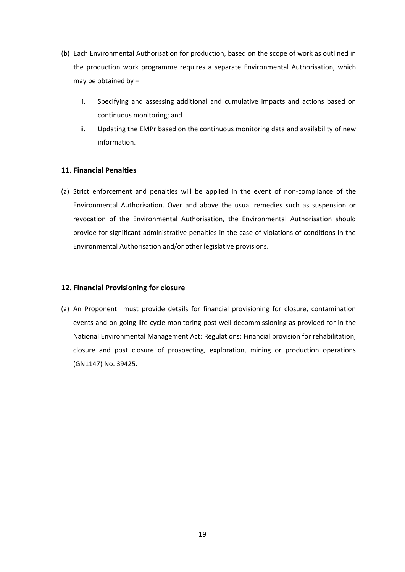- (b) Each Environmental Authorisation for production, based on the scope of work as outlined in the production work programme requires a separate Environmental Authorisation, which may be obtained by –
	- i. Specifying and assessing additional and cumulative impacts and actions based on continuous monitoring; and
	- ii. Updating the EMPr based on the continuous monitoring data and availability of new information.

## <span id="page-18-0"></span>**11. Financial Penalties**

(a) Strict enforcement and penalties will be applied in the event of non-compliance of the Environmental Authorisation. Over and above the usual remedies such as suspension or revocation of the Environmental Authorisation, the Environmental Authorisation should provide for significant administrative penalties in the case of violations of conditions in the Environmental Authorisation and/or other legislative provisions.

#### <span id="page-18-1"></span>**12. Financial Provisioning for closure**

(a) An Proponent must provide details for financial provisioning for closure, contamination events and on-going life-cycle monitoring post well decommissioning as provided for in the National Environmental Management Act: Regulations: Financial provision for rehabilitation, closure and post closure of prospecting, exploration, mining or production operations (GN1147) No. 39425.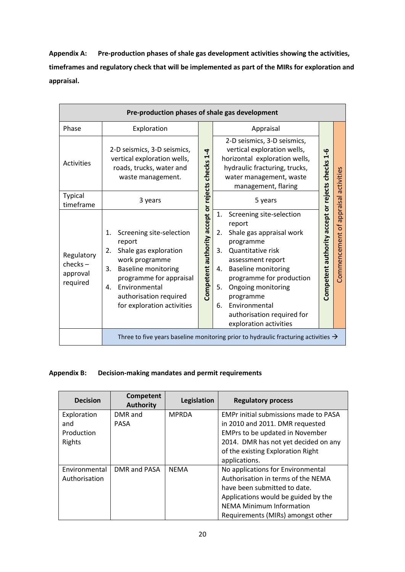**Appendix A: Pre-production phases of shale gas development activities showing the activities, timeframes and regulatory check that will be implemented as part of the MIRs for exploration and appraisal.** 

| Pre-production phases of shale gas development  |                                                                                                                                                                                                                                         |  |                                                                                                                                                                                                                                                                                                                                 |                                                  |                  |  |
|-------------------------------------------------|-----------------------------------------------------------------------------------------------------------------------------------------------------------------------------------------------------------------------------------------|--|---------------------------------------------------------------------------------------------------------------------------------------------------------------------------------------------------------------------------------------------------------------------------------------------------------------------------------|--------------------------------------------------|------------------|--|
| Phase                                           | Exploration                                                                                                                                                                                                                             |  | Appraisal                                                                                                                                                                                                                                                                                                                       |                                                  |                  |  |
| <b>Activities</b>                               | 2-D seismics, 3-D seismics,<br>vertical exploration wells,<br>roads, trucks, water and<br>waste management.                                                                                                                             |  | 2-D seismics, 3-D seismics,<br>vertical exploration wells,<br>4<br>1<br>horizontal exploration wells,<br>Competent authority accept or rejects checks<br>hydraulic fracturing, trucks,<br>water management, waste<br>management, flaring                                                                                        |                                                  | activities       |  |
| <b>Typical</b><br>timeframe                     | 3 years                                                                                                                                                                                                                                 |  | 5 years                                                                                                                                                                                                                                                                                                                         |                                                  | <b>lesie dde</b> |  |
| Regulatory<br>$check -$<br>approval<br>required | Screening site-selection<br>1.<br>report<br>Shale gas exploration<br>2.<br>work programme<br><b>Baseline monitoring</b><br>3.<br>programme for appraisal<br>Environmental<br>4.<br>authorisation required<br>for exploration activities |  | 1.<br>Screening site-selection<br>report<br>Shale gas appraisal work<br>2.<br>programme<br>Quantitative risk<br>3.<br>assessment report<br><b>Baseline monitoring</b><br>4.<br>programme for production<br>5.<br>Ongoing monitoring<br>programme<br>Environmental<br>6.<br>authorisation required for<br>exploration activities | Competent authority accept or rejects checks 1-6 | Commencement of  |  |
|                                                 | Three to five years baseline monitoring prior to hydraulic fracturing activities $\rightarrow$                                                                                                                                          |  |                                                                                                                                                                                                                                                                                                                                 |                                                  |                  |  |

## **Appendix B: Decision-making mandates and permit requirements**

| <b>Decision</b> | Competent<br><b>Authority</b> | Legislation  | <b>Regulatory process</b>                    |
|-----------------|-------------------------------|--------------|----------------------------------------------|
| Exploration     | DMR and                       | <b>MPRDA</b> | <b>EMPr initial submissions made to PASA</b> |
| and             | <b>PASA</b>                   |              | in 2010 and 2011. DMR requested              |
| Production      |                               |              | EMPrs to be updated in November              |
| Rights          |                               |              | 2014. DMR has not yet decided on any         |
|                 |                               |              | of the existing Exploration Right            |
|                 |                               |              | applications.                                |
| Environmental   | DMR and PASA                  | <b>NFMA</b>  | No applications for Environmental            |
| Authorisation   |                               |              | Authorisation in terms of the NEMA           |
|                 |                               |              | have been submitted to date.                 |
|                 |                               |              | Applications would be guided by the          |
|                 |                               |              | <b>NEMA Minimum Information</b>              |
|                 |                               |              | Requirements (MIRs) amongst other            |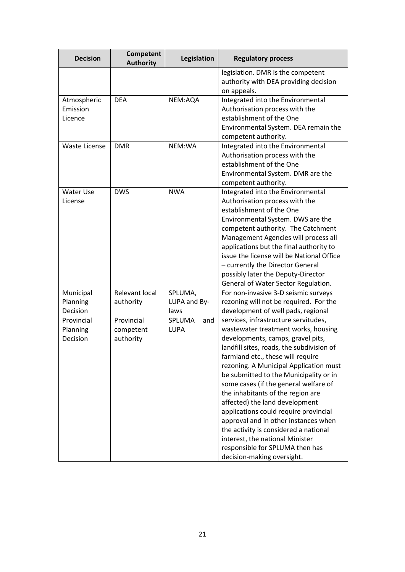| <b>Decision</b>                    | <b>Competent</b><br><b>Authority</b> | Legislation                     | <b>Regulatory process</b>                                                                                                                                                                                                                                                                                                                                                                                                                                                                                                                                                                                                            |
|------------------------------------|--------------------------------------|---------------------------------|--------------------------------------------------------------------------------------------------------------------------------------------------------------------------------------------------------------------------------------------------------------------------------------------------------------------------------------------------------------------------------------------------------------------------------------------------------------------------------------------------------------------------------------------------------------------------------------------------------------------------------------|
|                                    |                                      |                                 | legislation. DMR is the competent<br>authority with DEA providing decision<br>on appeals.                                                                                                                                                                                                                                                                                                                                                                                                                                                                                                                                            |
| Atmospheric<br>Emission<br>Licence | <b>DEA</b>                           | NEM:AQA                         | Integrated into the Environmental<br>Authorisation process with the<br>establishment of the One<br>Environmental System. DEA remain the<br>competent authority.                                                                                                                                                                                                                                                                                                                                                                                                                                                                      |
| <b>Waste License</b>               | <b>DMR</b>                           | NEM:WA                          | Integrated into the Environmental<br>Authorisation process with the<br>establishment of the One<br>Environmental System. DMR are the<br>competent authority.                                                                                                                                                                                                                                                                                                                                                                                                                                                                         |
| <b>Water Use</b><br>License        | <b>DWS</b>                           | <b>NWA</b>                      | Integrated into the Environmental<br>Authorisation process with the<br>establishment of the One<br>Environmental System. DWS are the<br>competent authority. The Catchment<br>Management Agencies will process all<br>applications but the final authority to<br>issue the license will be National Office<br>- currently the Director General<br>possibly later the Deputy-Director<br>General of Water Sector Regulation.                                                                                                                                                                                                          |
| Municipal<br>Planning<br>Decision  | Relevant local<br>authority          | SPLUMA,<br>LUPA and By-<br>laws | For non-invasive 3-D seismic surveys<br>rezoning will not be required. For the<br>development of well pads, regional                                                                                                                                                                                                                                                                                                                                                                                                                                                                                                                 |
| Provincial<br>Planning<br>Decision | Provincial<br>competent<br>authority | SPLUMA<br>and<br><b>LUPA</b>    | services, infrastructure servitudes,<br>wastewater treatment works, housing<br>developments, camps, gravel pits,<br>landfill sites, roads, the subdivision of<br>farmland etc., these will require<br>rezoning. A Municipal Application must<br>be submitted to the Municipality or in<br>some cases (if the general welfare of<br>the inhabitants of the region are<br>affected) the land development<br>applications could require provincial<br>approval and in other instances when<br>the activity is considered a national<br>interest, the national Minister<br>responsible for SPLUMA then has<br>decision-making oversight. |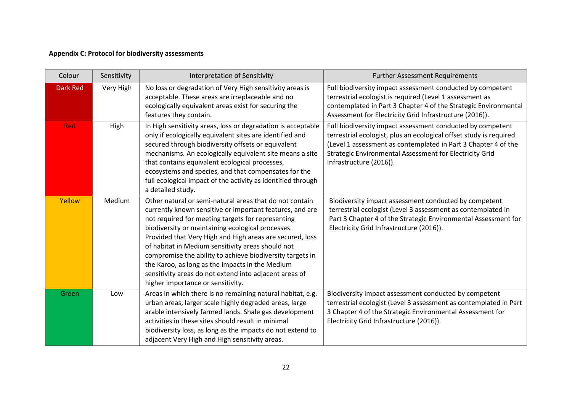## **Appendix C: Protocol for biodiversity assessments**

| Colour          | Sensitivity | Interpretation of Sensitivity                                                                                                                                                                                                                                                                                                                                                                                                                                                                                                                                 | <b>Further Assessment Requirements</b>                                                                                                                                                                                                                                                    |
|-----------------|-------------|---------------------------------------------------------------------------------------------------------------------------------------------------------------------------------------------------------------------------------------------------------------------------------------------------------------------------------------------------------------------------------------------------------------------------------------------------------------------------------------------------------------------------------------------------------------|-------------------------------------------------------------------------------------------------------------------------------------------------------------------------------------------------------------------------------------------------------------------------------------------|
| <b>Dark Red</b> | Very High   | No loss or degradation of Very High sensitivity areas is<br>acceptable. These areas are irreplaceable and no<br>ecologically equivalent areas exist for securing the<br>features they contain.                                                                                                                                                                                                                                                                                                                                                                | Full biodiversity impact assessment conducted by competent<br>terrestrial ecologist is required (Level 1 assessment as<br>contemplated in Part 3 Chapter 4 of the Strategic Environmental<br>Assessment for Electricity Grid Infrastructure (2016)).                                      |
| Red             | High        | In High sensitivity areas, loss or degradation is acceptable<br>only if ecologically equivalent sites are identified and<br>secured through biodiversity offsets or equivalent<br>mechanisms. An ecologically equivalent site means a site<br>that contains equivalent ecological processes,<br>ecosystems and species, and that compensates for the<br>full ecological impact of the activity as identified through<br>a detailed study.                                                                                                                     | Full biodiversity impact assessment conducted by competent<br>terrestrial ecologist, plus an ecological offset study is required.<br>(Level 1 assessment as contemplated in Part 3 Chapter 4 of the<br>Strategic Environmental Assessment for Electricity Grid<br>Infrastructure (2016)). |
| Yellow          | Medium      | Other natural or semi-natural areas that do not contain<br>currently known sensitive or important features, and are<br>not required for meeting targets for representing<br>biodiversity or maintaining ecological processes.<br>Provided that Very High and High areas are secured, loss<br>of habitat in Medium sensitivity areas should not<br>compromise the ability to achieve biodiversity targets in<br>the Karoo, as long as the impacts in the Medium<br>sensitivity areas do not extend into adjacent areas of<br>higher importance or sensitivity. | Biodiversity impact assessment conducted by competent<br>terrestrial ecologist (Level 3 assessment as contemplated in<br>Part 3 Chapter 4 of the Strategic Environmental Assessment for<br>Electricity Grid Infrastructure (2016)).                                                       |
| Green           | Low         | Areas in which there is no remaining natural habitat, e.g.<br>urban areas, larger scale highly degraded areas, large<br>arable intensively farmed lands. Shale gas development<br>activities in these sites should result in minimal<br>biodiversity loss, as long as the impacts do not extend to<br>adjacent Very High and High sensitivity areas.                                                                                                                                                                                                          | Biodiversity impact assessment conducted by competent<br>terrestrial ecologist (Level 3 assessment as contemplated in Part<br>3 Chapter 4 of the Strategic Environmental Assessment for<br>Electricity Grid Infrastructure (2016)).                                                       |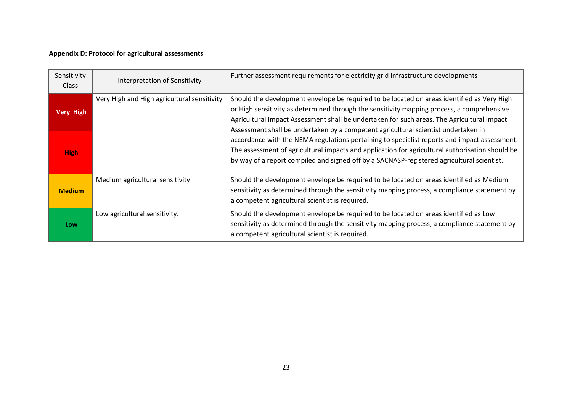## **Appendix D: Protocol for agricultural assessments**

| Sensitivity<br>Class | Interpretation of Sensitivity               | Further assessment requirements for electricity grid infrastructure developments                                                                                                                                                                                                                                                                                                    |
|----------------------|---------------------------------------------|-------------------------------------------------------------------------------------------------------------------------------------------------------------------------------------------------------------------------------------------------------------------------------------------------------------------------------------------------------------------------------------|
| <b>Very High</b>     | Very High and High agricultural sensitivity | Should the development envelope be required to be located on areas identified as Very High<br>or High sensitivity as determined through the sensitivity mapping process, a comprehensive<br>Agricultural Impact Assessment shall be undertaken for such areas. The Agricultural Impact                                                                                              |
| <b>High</b>          |                                             | Assessment shall be undertaken by a competent agricultural scientist undertaken in<br>accordance with the NEMA regulations pertaining to specialist reports and impact assessment.<br>The assessment of agricultural impacts and application for agricultural authorisation should be<br>by way of a report compiled and signed off by a SACNASP-registered agricultural scientist. |
| <b>Medium</b>        | Medium agricultural sensitivity             | Should the development envelope be required to be located on areas identified as Medium<br>sensitivity as determined through the sensitivity mapping process, a compliance statement by<br>a competent agricultural scientist is required.                                                                                                                                          |
| Low                  | Low agricultural sensitivity.               | Should the development envelope be required to be located on areas identified as Low<br>sensitivity as determined through the sensitivity mapping process, a compliance statement by<br>a competent agricultural scientist is required.                                                                                                                                             |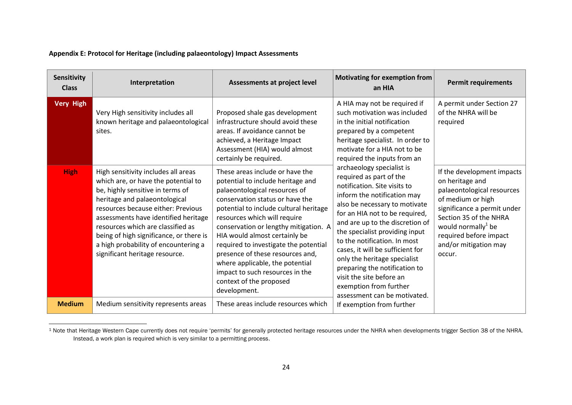#### **Appendix E: Protocol for Heritage (including palaeontology) Impact Assessments**

| Sensitivity<br><b>Class</b>     | Interpretation                                                                                                                                                                                                                                                                                                                                                                                                                                                                 | Assessments at project level                                                                                                                                                                                                                                                                                                                                                                                                                                                                                                                                                                                                                                                                 | <b>Motivating for exemption from</b><br>an HIA                                                                                                                                                                                                                                                                                                                                                                                                                                                                                                                                                                                                                                      | <b>Permit requirements</b>                                                                                                                                                                                                                                                                                               |
|---------------------------------|--------------------------------------------------------------------------------------------------------------------------------------------------------------------------------------------------------------------------------------------------------------------------------------------------------------------------------------------------------------------------------------------------------------------------------------------------------------------------------|----------------------------------------------------------------------------------------------------------------------------------------------------------------------------------------------------------------------------------------------------------------------------------------------------------------------------------------------------------------------------------------------------------------------------------------------------------------------------------------------------------------------------------------------------------------------------------------------------------------------------------------------------------------------------------------------|-------------------------------------------------------------------------------------------------------------------------------------------------------------------------------------------------------------------------------------------------------------------------------------------------------------------------------------------------------------------------------------------------------------------------------------------------------------------------------------------------------------------------------------------------------------------------------------------------------------------------------------------------------------------------------------|--------------------------------------------------------------------------------------------------------------------------------------------------------------------------------------------------------------------------------------------------------------------------------------------------------------------------|
| <b>Very High</b><br><b>High</b> | Very High sensitivity includes all<br>known heritage and palaeontological<br>sites.<br>High sensitivity includes all areas<br>which are, or have the potential to<br>be, highly sensitive in terms of<br>heritage and palaeontological<br>resources because either: Previous<br>assessments have identified heritage<br>resources which are classified as<br>being of high significance, or there is<br>a high probability of encountering a<br>significant heritage resource. | Proposed shale gas development<br>infrastructure should avoid these<br>areas. If avoidance cannot be<br>achieved, a Heritage Impact<br>Assessment (HIA) would almost<br>certainly be required.<br>These areas include or have the<br>potential to include heritage and<br>palaeontological resources of<br>conservation status or have the<br>potential to include cultural heritage<br>resources which will require<br>conservation or lengthy mitigation. A<br>HIA would almost certainly be<br>required to investigate the potential<br>presence of these resources and,<br>where applicable, the potential<br>impact to such resources in the<br>context of the proposed<br>development. | A HIA may not be required if<br>such motivation was included<br>in the initial notification<br>prepared by a competent<br>heritage specialist. In order to<br>motivate for a HIA not to be<br>required the inputs from an<br>archaeology specialist is<br>required as part of the<br>notification. Site visits to<br>inform the notification may<br>also be necessary to motivate<br>for an HIA not to be required,<br>and are up to the discretion of<br>the specialist providing input<br>to the notification. In most<br>cases, it will be sufficient for<br>only the heritage specialist<br>preparing the notification to<br>visit the site before an<br>exemption from further | A permit under Section 27<br>of the NHRA will be<br>required<br>If the development impacts<br>on heritage and<br>palaeontological resources<br>of medium or high<br>significance a permit under<br>Section 35 of the NHRA<br>would normally <sup>1</sup> be<br>required before impact<br>and/or mitigation may<br>occur. |
| <b>Medium</b>                   | Medium sensitivity represents areas                                                                                                                                                                                                                                                                                                                                                                                                                                            | These areas include resources which                                                                                                                                                                                                                                                                                                                                                                                                                                                                                                                                                                                                                                                          | assessment can be motivated.<br>If exemption from further                                                                                                                                                                                                                                                                                                                                                                                                                                                                                                                                                                                                                           |                                                                                                                                                                                                                                                                                                                          |

 $\overline{a}$ <sup>1</sup> Note that Heritage Western Cape currently does not require 'permits' for generally protected heritage resources under the NHRA when developments trigger Section 38 of the NHRA. Instead, a work plan is required which is very similar to a permitting process.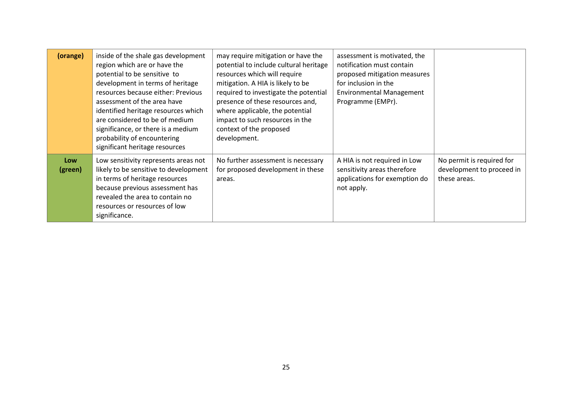| (orange)       | inside of the shale gas development<br>region which are or have the<br>potential to be sensitive to<br>development in terms of heritage<br>resources because either: Previous<br>assessment of the area have<br>identified heritage resources which<br>are considered to be of medium<br>significance, or there is a medium<br>probability of encountering<br>significant heritage resources | may require mitigation or have the<br>potential to include cultural heritage<br>resources which will require<br>mitigation. A HIA is likely to be<br>required to investigate the potential<br>presence of these resources and,<br>where applicable, the potential<br>impact to such resources in the<br>context of the proposed<br>development. | assessment is motivated, the<br>notification must contain<br>proposed mitigation measures<br>for inclusion in the<br><b>Environmental Management</b><br>Programme (EMPr). |                                                                        |
|----------------|----------------------------------------------------------------------------------------------------------------------------------------------------------------------------------------------------------------------------------------------------------------------------------------------------------------------------------------------------------------------------------------------|-------------------------------------------------------------------------------------------------------------------------------------------------------------------------------------------------------------------------------------------------------------------------------------------------------------------------------------------------|---------------------------------------------------------------------------------------------------------------------------------------------------------------------------|------------------------------------------------------------------------|
| Low<br>(green) | Low sensitivity represents areas not<br>likely to be sensitive to development<br>in terms of heritage resources<br>because previous assessment has<br>revealed the area to contain no<br>resources or resources of low<br>significance.                                                                                                                                                      | No further assessment is necessary<br>for proposed development in these<br>areas.                                                                                                                                                                                                                                                               | A HIA is not required in Low<br>sensitivity areas therefore<br>applications for exemption do<br>not apply.                                                                | No permit is required for<br>development to proceed in<br>these areas. |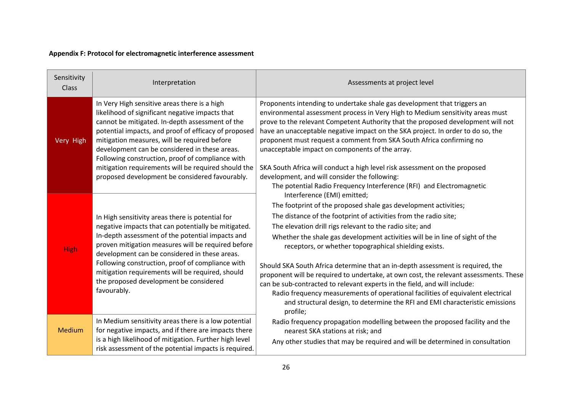## **Appendix F: Protocol for electromagnetic interference assessment**

| Sensitivity<br>Class | Interpretation                                                                                                                                                                                                                                                                                                                                                                                                                                                           | Assessments at project level                                                                                                                                                                                                                                                                                                                                                                                                                                                                                                                                                                                                                                                                                                                                                                                                                                               |
|----------------------|--------------------------------------------------------------------------------------------------------------------------------------------------------------------------------------------------------------------------------------------------------------------------------------------------------------------------------------------------------------------------------------------------------------------------------------------------------------------------|----------------------------------------------------------------------------------------------------------------------------------------------------------------------------------------------------------------------------------------------------------------------------------------------------------------------------------------------------------------------------------------------------------------------------------------------------------------------------------------------------------------------------------------------------------------------------------------------------------------------------------------------------------------------------------------------------------------------------------------------------------------------------------------------------------------------------------------------------------------------------|
| Very High            | In Very High sensitive areas there is a high<br>likelihood of significant negative impacts that<br>cannot be mitigated. In-depth assessment of the<br>potential impacts, and proof of efficacy of proposed<br>mitigation measures, will be required before<br>development can be considered in these areas.<br>Following construction, proof of compliance with<br>mitigation requirements will be required should the<br>proposed development be considered favourably. | Proponents intending to undertake shale gas development that triggers an<br>environmental assessment process in Very High to Medium sensitivity areas must<br>prove to the relevant Competent Authority that the proposed development will not<br>have an unacceptable negative impact on the SKA project. In order to do so, the<br>proponent must request a comment from SKA South Africa confirming no<br>unacceptable impact on components of the array.<br>SKA South Africa will conduct a high level risk assessment on the proposed<br>development, and will consider the following:                                                                                                                                                                                                                                                                                |
| <b>High</b>          | In High sensitivity areas there is potential for<br>negative impacts that can potentially be mitigated.<br>In-depth assessment of the potential impacts and<br>proven mitigation measures will be required before<br>development can be considered in these areas.<br>Following construction, proof of compliance with<br>mitigation requirements will be required, should<br>the proposed development be considered<br>favourably.                                      | The potential Radio Frequency Interference (RFI) and Electromagnetic<br>Interference (EMI) emitted;<br>The footprint of the proposed shale gas development activities;<br>The distance of the footprint of activities from the radio site;<br>The elevation drill rigs relevant to the radio site; and<br>Whether the shale gas development activities will be in line of sight of the<br>receptors, or whether topographical shielding exists.<br>Should SKA South Africa determine that an in-depth assessment is required, the<br>proponent will be required to undertake, at own cost, the relevant assessments. These<br>can be sub-contracted to relevant experts in the field, and will include:<br>Radio frequency measurements of operational facilities of equivalent electrical<br>and structural design, to determine the RFI and EMI characteristic emissions |
| Medium               | In Medium sensitivity areas there is a low potential<br>for negative impacts, and if there are impacts there<br>is a high likelihood of mitigation. Further high level<br>risk assessment of the potential impacts is required.                                                                                                                                                                                                                                          | profile;<br>Radio frequency propagation modelling between the proposed facility and the<br>nearest SKA stations at risk; and<br>Any other studies that may be required and will be determined in consultation                                                                                                                                                                                                                                                                                                                                                                                                                                                                                                                                                                                                                                                              |